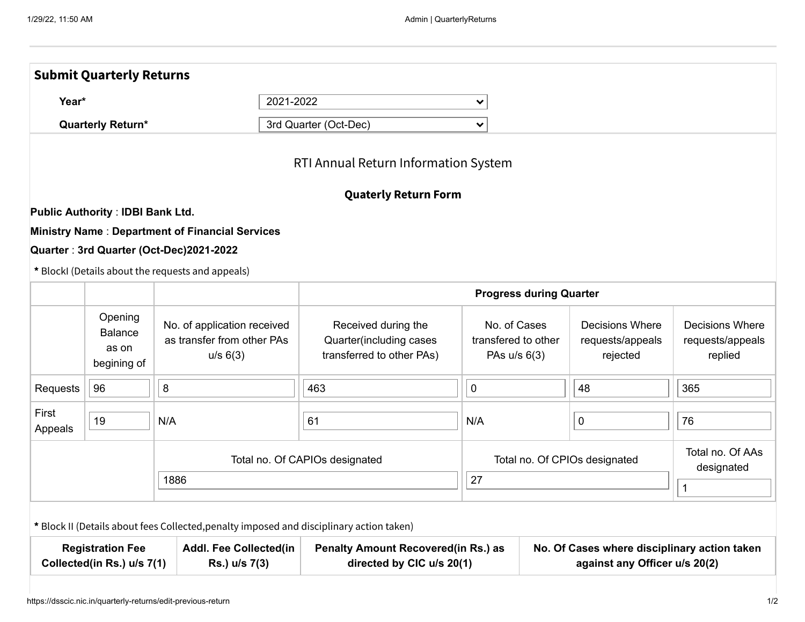|                                                                                                         | <b>Submit Quarterly Returns</b>                   |                                                                                          |                                                                             |                                                                         |  |                                                        |                                                                               |  |  |  |  |
|---------------------------------------------------------------------------------------------------------|---------------------------------------------------|------------------------------------------------------------------------------------------|-----------------------------------------------------------------------------|-------------------------------------------------------------------------|--|--------------------------------------------------------|-------------------------------------------------------------------------------|--|--|--|--|
| Year*<br><b>Quarterly Return*</b>                                                                       |                                                   |                                                                                          | 2021-2022                                                                   | $\checkmark$                                                            |  |                                                        |                                                                               |  |  |  |  |
|                                                                                                         |                                                   |                                                                                          | 3rd Quarter (Oct-Dec)                                                       | $\checkmark$                                                            |  |                                                        |                                                                               |  |  |  |  |
|                                                                                                         |                                                   |                                                                                          | RTI Annual Return Information System                                        |                                                                         |  |                                                        |                                                                               |  |  |  |  |
|                                                                                                         |                                                   |                                                                                          | <b>Quaterly Return Form</b>                                                 |                                                                         |  |                                                        |                                                                               |  |  |  |  |
|                                                                                                         | <b>Public Authority: IDBI Bank Ltd.</b>           |                                                                                          |                                                                             |                                                                         |  |                                                        |                                                                               |  |  |  |  |
|                                                                                                         |                                                   | <b>Ministry Name: Department of Financial Services</b>                                   |                                                                             |                                                                         |  |                                                        |                                                                               |  |  |  |  |
|                                                                                                         |                                                   | Quarter: 3rd Quarter (Oct-Dec)2021-2022                                                  |                                                                             |                                                                         |  |                                                        |                                                                               |  |  |  |  |
|                                                                                                         |                                                   | * BlockI (Details about the requests and appeals)                                        |                                                                             |                                                                         |  |                                                        |                                                                               |  |  |  |  |
|                                                                                                         |                                                   |                                                                                          |                                                                             | <b>Progress during Quarter</b>                                          |  |                                                        |                                                                               |  |  |  |  |
|                                                                                                         | Opening<br><b>Balance</b><br>as on<br>begining of | No. of application received<br>as transfer from other PAs<br>u/s 6(3)                    | Received during the<br>Quarter(including cases<br>transferred to other PAs) | No. of Cases<br>transfered to other<br>PAs $u/s$ 6(3)                   |  | <b>Decisions Where</b><br>requests/appeals<br>rejected | Decisions Where<br>requests/appeals<br>replied                                |  |  |  |  |
| Requests                                                                                                | 96                                                | 8                                                                                        | 463                                                                         | $\mathbf 0$                                                             |  | 48                                                     | 365                                                                           |  |  |  |  |
| First<br>Appeals                                                                                        | 19                                                | N/A                                                                                      | 61                                                                          |                                                                         |  | 0                                                      | 76                                                                            |  |  |  |  |
| 1886                                                                                                    |                                                   |                                                                                          | Total no. Of CAPIOs designated                                              |                                                                         |  | Total no. Of CPIOs designated                          | Total no. Of AAs<br>designated                                                |  |  |  |  |
|                                                                                                         |                                                   |                                                                                          |                                                                             | 27                                                                      |  |                                                        |                                                                               |  |  |  |  |
|                                                                                                         |                                                   | * Block II (Details about fees Collected, penalty imposed and disciplinary action taken) |                                                                             |                                                                         |  |                                                        |                                                                               |  |  |  |  |
| <b>Registration Fee</b><br><b>Addl. Fee Collected(in</b><br>Collected(in Rs.) u/s 7(1)<br>Rs.) u/s 7(3) |                                                   |                                                                                          |                                                                             | <b>Penalty Amount Recovered(in Rs.) as</b><br>directed by CIC u/s 20(1) |  |                                                        | No. Of Cases where disciplinary action taken<br>against any Officer u/s 20(2) |  |  |  |  |